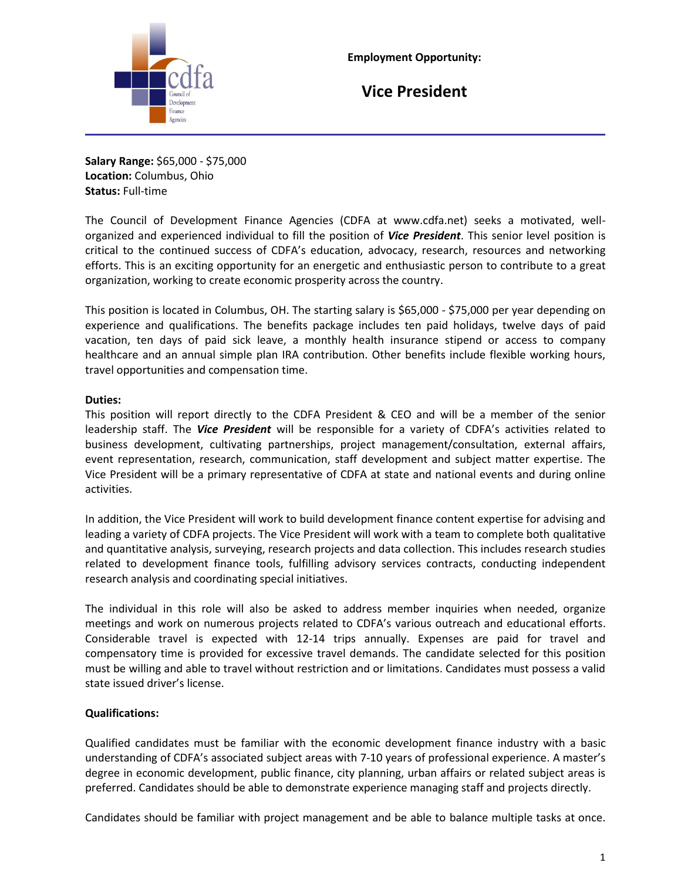**Employment Opportunity:**



**Vice President**

**Salary Range:** \$65,000 - \$75,000 **Location:** Columbus, Ohio **Status:** Full-time

The Council of Development Finance Agencies (CDFA at www.cdfa.net) seeks a motivated, wellorganized and experienced individual to fill the position of *Vice President*. This senior level position is critical to the continued success of CDFA's education, advocacy, research, resources and networking efforts. This is an exciting opportunity for an energetic and enthusiastic person to contribute to a great organization, working to create economic prosperity across the country.

This position is located in Columbus, OH. The starting salary is \$65,000 - \$75,000 per year depending on experience and qualifications. The benefits package includes ten paid holidays, twelve days of paid vacation, ten days of paid sick leave, a monthly health insurance stipend or access to company healthcare and an annual simple plan IRA contribution. Other benefits include flexible working hours, travel opportunities and compensation time.

## **Duties:**

This position will report directly to the CDFA President & CEO and will be a member of the senior leadership staff. The *Vice President* will be responsible for a variety of CDFA's activities related to business development, cultivating partnerships, project management/consultation, external affairs, event representation, research, communication, staff development and subject matter expertise. The Vice President will be a primary representative of CDFA at state and national events and during online activities.

In addition, the Vice President will work to build development finance content expertise for advising and leading a variety of CDFA projects. The Vice President will work with a team to complete both qualitative and quantitative analysis, surveying, research projects and data collection. This includes research studies related to development finance tools, fulfilling advisory services contracts, conducting independent research analysis and coordinating special initiatives.

The individual in this role will also be asked to address member inquiries when needed, organize meetings and work on numerous projects related to CDFA's various outreach and educational efforts. Considerable travel is expected with 12-14 trips annually. Expenses are paid for travel and compensatory time is provided for excessive travel demands. The candidate selected for this position must be willing and able to travel without restriction and or limitations. Candidates must possess a valid state issued driver's license.

## **Qualifications:**

Qualified candidates must be familiar with the economic development finance industry with a basic understanding of CDFA's associated subject areas with 7-10 years of professional experience. A master's degree in economic development, public finance, city planning, urban affairs or related subject areas is preferred. Candidates should be able to demonstrate experience managing staff and projects directly.

Candidates should be familiar with project management and be able to balance multiple tasks at once.